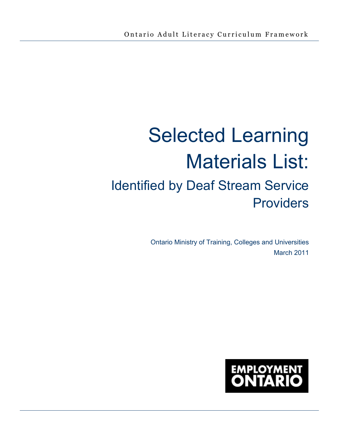# Selected Learning Materials List: Identified by Deaf Stream Service Providers

Ontario Ministry of Training, Colleges and Universities March 2011

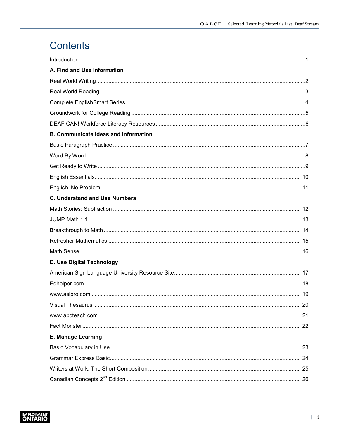# Contents

| A. Find and Use Information                 |  |
|---------------------------------------------|--|
|                                             |  |
|                                             |  |
|                                             |  |
|                                             |  |
|                                             |  |
| <b>B. Communicate Ideas and Information</b> |  |
|                                             |  |
|                                             |  |
|                                             |  |
|                                             |  |
|                                             |  |
| <b>C. Understand and Use Numbers</b>        |  |
|                                             |  |
|                                             |  |
|                                             |  |
|                                             |  |
|                                             |  |
| D. Use Digital Technology                   |  |
|                                             |  |
|                                             |  |
|                                             |  |
|                                             |  |
|                                             |  |
|                                             |  |
| <b>E. Manage Learning</b>                   |  |
|                                             |  |
|                                             |  |
|                                             |  |
|                                             |  |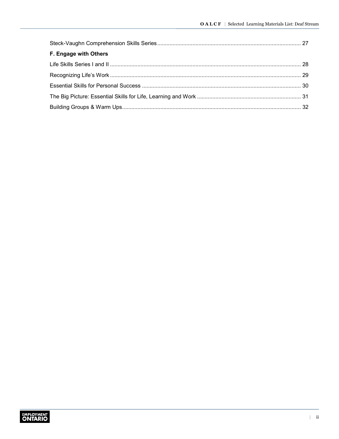| F. Engage with Others |  |
|-----------------------|--|
|                       |  |
|                       |  |
|                       |  |
|                       |  |
|                       |  |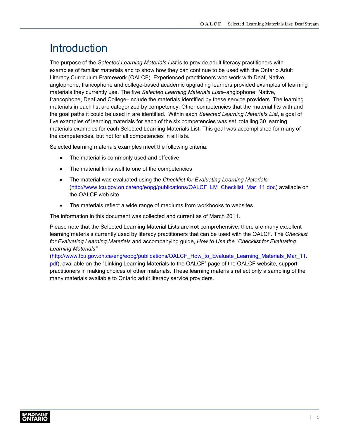# <span id="page-3-0"></span>**Introduction**

The purpose of the *Selected Learning Materials List* is to provide adult literacy practitioners with examples of familiar materials and to show how they can continue to be used with the Ontario Adult Literacy Curriculum Framework (OALCF). Experienced practitioners who work with Deaf, Native, anglophone, francophone and college-based academic upgrading learners provided examples of learning materials they currently use. The five *Selected Learning Materials Lists*–anglophone, Native, francophone, Deaf and College–include the materials identified by these service providers. The learning materials in each list are categorized by competency. Other competencies that the material fits with and the goal paths it could be used in are identified. Within each *Selected Learning Materials List*, a goal of five examples of learning materials for each of the six competencies was set, totalling 30 learning materials examples for each Selected Learning Materials List. This goal was accomplished for many of the competencies, but not for all competencies in all lists.

Selected learning materials examples meet the following criteria:

- The material is commonly used and effective
- The material links well to one of the competencies
- The material was evaluated using the *Checklist for Evaluating Learning Materials* ([http://www.tcu.gov.on.ca/eng/eopg/publications/OALCF\\_LM\\_Checklist\\_Mar\\_11.doc](http://www.tcu.gov.on.ca/eng/eopg/publications/OALCF_LM_Checklist_Mar_11.doc)) available on the OALCF web site
- The materials reflect a wide range of mediums from workbooks to websites

The information in this document was collected and current as of March 2011.

Please note that the Selected Learning Material Lists are **not** comprehensive; there are many excellent learning materials currently used by literacy practitioners that can be used with the OALCF. The *Checklist for Evaluating Learning Materials* and accompanying guide, *How to Use the "Checklist for Evaluating Learning Materials"*

[\(http://www.tcu.gov.on.ca/eng/eopg/publications/OALCF\\_How\\_to\\_Evaluate\\_Learning\\_Materials\\_Mar\\_11.](http://www.tcu.gov.on.ca/eng/eopg/publications/OALCF_How_to_Evaluate_Learning_Materials_Mar_11.pdf) pdf), available on the "Linking Learning Materials to the OALCF" page of the OALCF website, support practitioners in making choices of other materials. These learning materials reflect only a sampling of the many materials available to Ontario adult literacy service providers.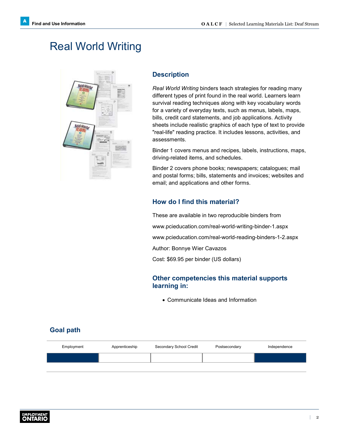# <span id="page-4-1"></span><span id="page-4-0"></span>Real World Writing



#### **Description**

*Real World Writing* binders teach strategies for reading many different types of print found in the real world. Learners learn survival reading techniques along with key vocabulary words for a variety of everyday texts, such as menus, labels, maps, bills, credit card statements, and job applications. Activity sheets include realistic graphics of each type of text to provide "real-life" reading practice. It includes lessons, activities, and assessments.

Binder 1 covers menus and recipes, labels, instructions, maps, driving-related items, and schedules.

Binder 2 covers phone books; newspapers; catalogues; mail and postal forms; bills, statements and invoices; websites and email; and applications and other forms.

### **How do I find this material?**

These are available in two reproducible binders from [www.pcieducation.com/real-world-writing-binder-1.aspx](http://www.pcieducation.com/real-world-writing-binder-1.aspx) [www.pcieducation.com/real-world-reading-binders-1-2.aspx](http://www.pcieducation.com/real-world-reading-binders-1-2.aspx) Author: Bonnye Wier Cavazos Cost: \$69.95 per binder (US dollars)

#### **Other competencies this material supports learning in:**

• Communicate Ideas and Information

| Employment | Apprenticeship | Secondary School Credit | Postsecondary | Independence |
|------------|----------------|-------------------------|---------------|--------------|
|            |                |                         |               |              |
|            |                |                         |               |              |

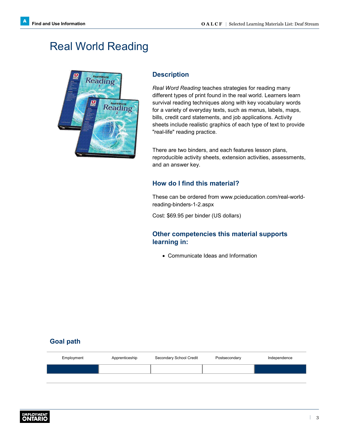# <span id="page-5-0"></span>Real World Reading



#### **Description**

*Real Word Reading* teaches strategies for reading many different types of print found in the real world. Learners learn survival reading techniques along with key vocabulary words for a variety of everyday texts, such as menus, labels, maps, bills, credit card statements, and job applications. Activity sheets include realistic graphics of each type of text to provide "real-life" reading practice.

There are two binders, and each features lesson plans, reproducible activity sheets, extension activities, assessments, and an answer key.

#### **How do I find this material?**

These can be ordered from [www.pcieducation.com/real-world](http://www.pcieducation.com/real-world-reading-binders-1-2.aspx)[reading-binders-1-2.aspx](http://www.pcieducation.com/real-world-reading-binders-1-2.aspx)

Cost: \$69.95 per binder (US dollars)

#### **Other competencies this material supports learning in:**

• Communicate Ideas and Information

| Employment | Apprenticeship | Secondary School Credit | Postsecondary | Independence |
|------------|----------------|-------------------------|---------------|--------------|
|            |                |                         |               |              |
|            |                |                         |               |              |

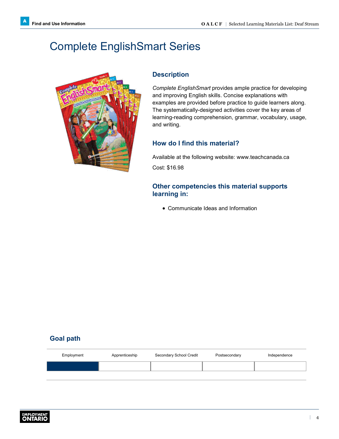# <span id="page-6-0"></span>Complete EnglishSmart Series



#### **Description**

*Complete EnglishSmart* provides ample practice for developing and improving English skills. Concise explanations with examples are provided before practice to guide learners along. The systematically-designed activities cover the key areas of learning-reading comprehension, grammar, vocabulary, usage, and writing.

#### **How do I find this material?**

Available at the following website: [www.teachcanada.ca](http://www.teachcanada.ca) Cost: \$16.98

#### **Other competencies this material supports learning in:**

• Communicate Ideas and Information

| Employment | Apprenticeship | Secondary School Credit | Postsecondary | Independence |
|------------|----------------|-------------------------|---------------|--------------|
|            |                |                         |               |              |
|            |                |                         |               |              |

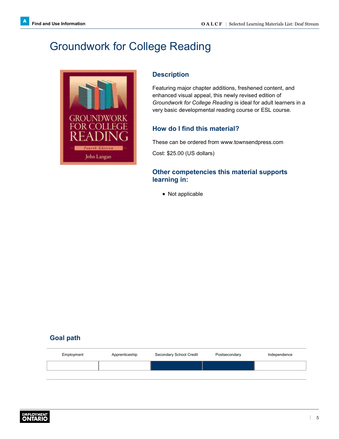# <span id="page-7-0"></span>Groundwork for College Reading



### **Description**

Featuring major chapter additions, freshened content, and enhanced visual appeal, this newly revised edition of *Groundwork for College Reading* is ideal for adult learners in a very basic developmental reading course or ESL course.

### **How do I find this material?**

These can be ordered from [www.townsendpress.com](http://www.townsendpress.com)

Cost: \$25.00 (US dollars)

#### **Other competencies this material supports learning in:**

• Not applicable

| Employment | Apprenticeship | Secondary School Credit | Postsecondary | Independence |
|------------|----------------|-------------------------|---------------|--------------|
|            |                |                         |               |              |
|            |                |                         |               |              |

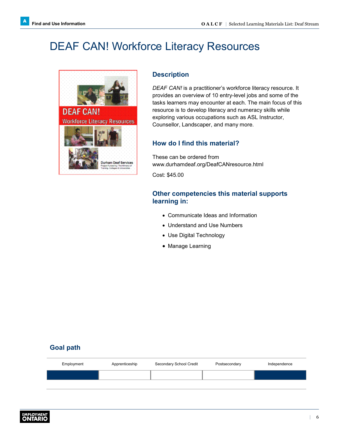# <span id="page-8-0"></span>DEAF CAN! Workforce Literacy Resources



Durham Deaf Services

#### **Description**

*DEAF CAN!* is a practitioner's workforce literacy resource. It provides an overview of 10 entry-level jobs and some of the tasks learners may encounter at each. The main focus of this resource is to develop literacy and numeracy skills while exploring various occupations such as ASL Instructor, Counsellor, Landscaper, and many more.

#### **How do I find this material?**

These can be ordered from [www.durhamdeaf.org/DeafCANresource.html](http://www.durhamdeaf.org/DeafCANresource.html)

Cost: \$45.00

#### **Other competencies this material supports learning in:**

- Communicate Ideas and Information
- Understand and Use Numbers
- Use Digital Technology
- Manage Learning

| Employment | Apprenticeship | Secondary School Credit | Postsecondary | Independence |
|------------|----------------|-------------------------|---------------|--------------|
|            |                |                         |               |              |
|            |                |                         |               |              |

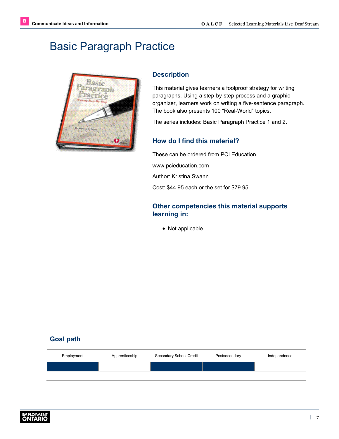# <span id="page-9-1"></span><span id="page-9-0"></span>Basic Paragraph Practice



#### **Description**

This material gives learners a foolproof strategy for writing paragraphs. Using a step-by-step process and a graphic organizer, learners work on writing a five-sentence paragraph. The book also presents 100 "Real-World" topics.

The series includes: Basic Paragraph Practice 1 and 2.

### **How do I find this material?**

These can be ordered from PCI Education [www.pcieducation.com](http://www.pcieducation.com) Author: Kristina Swann Cost: \$44.95 each or the set for \$79.95

#### **Other competencies this material supports learning in:**

• Not applicable

| Employment | Apprenticeship | Secondary School Credit | Postsecondary | Independence |
|------------|----------------|-------------------------|---------------|--------------|
|            |                |                         |               |              |
|            |                |                         |               |              |

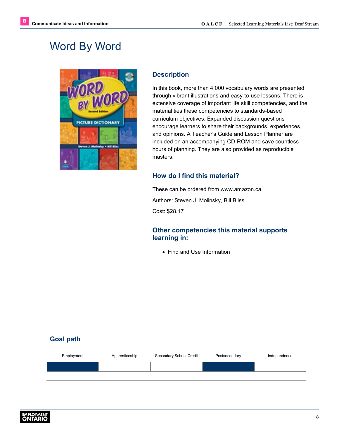# <span id="page-10-0"></span>Word By Word



### **Description**

In this book, more than 4,000 vocabulary words are presented through vibrant illustrations and easy-to-use lessons. There is extensive coverage of important life skill competencies, and the material ties these competencies to standards-based curriculum objectives. Expanded discussion questions encourage learners to share their backgrounds, experiences, and opinions. A Teacher's Guide and Lesson Planner are included on an accompanying CD-ROM and save countless hours of planning. They are also provided as reproducible masters.

### **How do I find this material?**

These can be ordered from [www.amazon.ca](http://www.amazon.ca) Authors: Steven J. Molinsky, Bill Bliss Cost: \$28.17

#### **Other competencies this material supports learning in:**

• Find and Use Information

| Employment | Apprenticeship | Secondary School Credit | Postsecondary | Independence |
|------------|----------------|-------------------------|---------------|--------------|
|            |                |                         |               |              |
|            |                |                         |               |              |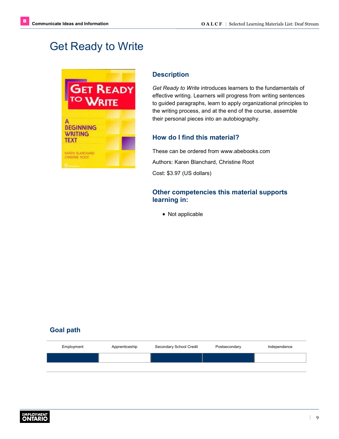# <span id="page-11-0"></span>Get Ready to Write



#### **Description**

*Get Ready to Write* introduces learners to the fundamentals of effective writing. Learners will progress from writing sentences to guided paragraphs, learn to apply organizational principles to the writing process, and at the end of the course, assemble their personal pieces into an autobiography.

### **How do I find this material?**

These can be ordered from [www.abebooks.com](http://www.abebooks.com) Authors: Karen Blanchard, Christine Root Cost: \$3.97 (US dollars)

#### **Other competencies this material supports learning in:**

• Not applicable

| Employment | Apprenticeship | Secondary School Credit | Postsecondary | Independence |
|------------|----------------|-------------------------|---------------|--------------|
|            |                |                         |               |              |
|            |                |                         |               |              |

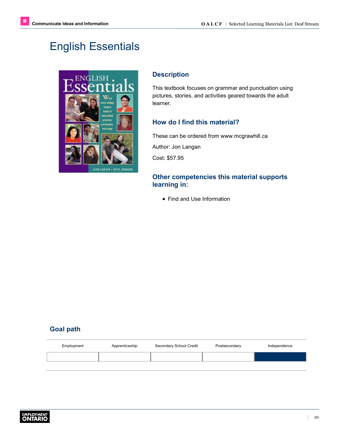# <span id="page-12-0"></span>English Essentials



#### **Description**

This textbook focuses on grammar and punctuation using pictures, stories, and activities geared towards the adult learner.

### **How do I find this material?**

These can be ordered from [www.mcgrawhill.ca](http://www.mcgrawhill.ca) Author: Jon Langan Cost: \$57.95

#### **Other competencies this material supports learning in:**

• Find and Use Information

| Employment | Apprenticeship | Secondary School Credit | Postsecondary | Independence |
|------------|----------------|-------------------------|---------------|--------------|
|            |                |                         |               |              |

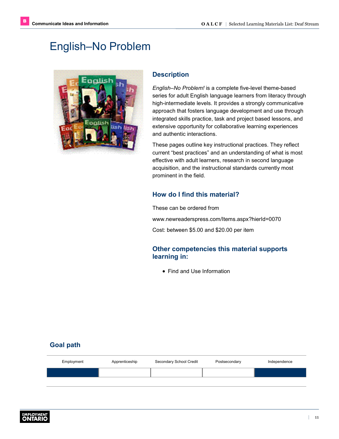# <span id="page-13-0"></span>English–No Problem



### **Description**

*English–No Problem!* is a complete five-level theme-based series for adult English language learners from literacy through high-intermediate levels. It provides a strongly communicative approach that fosters language development and use through integrated skills practice, task and project based lessons, and extensive opportunity for collaborative learning experiences and authentic interactions.

These pages outline key instructional practices. They reflect current "best practices" and an understanding of what is most effective with adult learners, research in second language acquisition, and the instructional standards currently most prominent in the field.

### **How do I find this material?**

These can be ordered from

[www.newreaderspress.com/Items.aspx?hierId=0070](http://www.newreaderspress.com/Items.aspx?hierId=0070)

Cost: between \$5.00 and \$20.00 per item

#### **Other competencies this material supports learning in:**

• Find and Use Information

| Employment | Apprenticeship | Secondary School Credit | Postsecondary | Independence |
|------------|----------------|-------------------------|---------------|--------------|
|            |                |                         |               |              |
|            |                |                         |               |              |

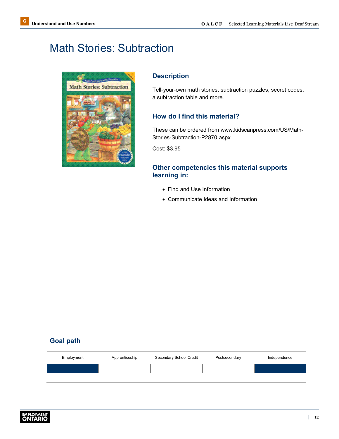# <span id="page-14-1"></span><span id="page-14-0"></span>Math Stories: Subtraction



#### **Description**

Tell-your-own math stories, subtraction puzzles, secret codes, a subtraction table and more.

#### **How do I find this material?**

These can be ordered from [www.kidscanpress.com/US/Math-](http://www.kidscanpress.com/US/Math-Stories-Subtraction-P2870.aspx)[Stories-Subtraction-P2870.aspx](http://www.kidscanpress.com/US/Math-Stories-Subtraction-P2870.aspx)

Cost: \$3.95

#### **Other competencies this material supports learning in:**

- Find and Use Information
- Communicate Ideas and Information

| Employment | Apprenticeship | Secondary School Credit | Postsecondary | Independence |
|------------|----------------|-------------------------|---------------|--------------|
|            |                |                         |               |              |
|            |                |                         |               |              |

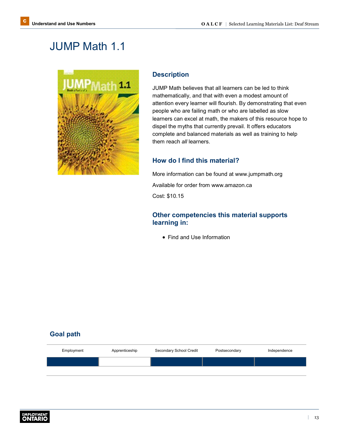# <span id="page-15-0"></span>JUMP Math 1.1



#### **Description**

JUMP Math believes that all learners can be led to think mathematically, and that with even a modest amount of attention every learner will flourish. By demonstrating that even people who are failing math or who are labelled as slow learners can excel at math, the makers of this resource hope to dispel the myths that currently prevail. It offers educators complete and balanced materials as well as training to help them reach *all* learners.

#### **How do I find this material?**

More information can be found at [www.jumpmath.org](http://www.jumpmath.org) Available for order from [www.amazon.ca](http://www.amazon.ca)

Cost: \$10.15

#### **Other competencies this material supports learning in:**

• Find and Use Information

| Employment | Apprenticeship | Secondary School Credit | Postsecondary | Independence |
|------------|----------------|-------------------------|---------------|--------------|
|            |                |                         |               |              |
|            |                |                         |               |              |

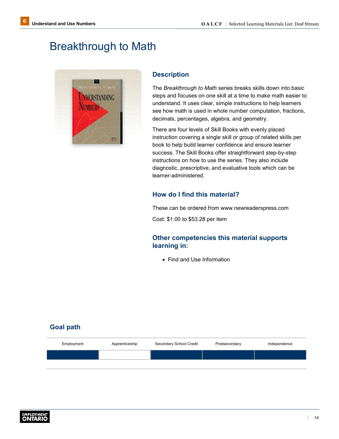# <span id="page-16-0"></span>Breakthrough to Math



#### **Description**

The *Breakthrough to Math* series breaks skills down into basic steps and focuses on one skill at a time to make math easier to understand. It uses clear, simple instructions to help learners see how math is used in whole number computation, fractions, decimals, percentages, algebra, and geometry.

There are four levels of Skill Books with evenly placed instruction covering a single skill or group of related skills per book to help build learner confidence and ensure learner success. The Skill Books offer straightforward step-by-step instructions on how to use the series. They also include diagnostic, prescriptive, and evaluative tools which can be learner-administered.

#### **How do I find this material?**

These can be ordered from [www.newreaderspress.com](http://www.newreaderspress.com)

Cost: \$1.00 to \$53.28 per item

#### **Other competencies this material supports learning in:**

• Find and Use Information

| Employment | Apprenticeship | Secondary School Credit | Postsecondary | Independence |
|------------|----------------|-------------------------|---------------|--------------|
|            |                |                         |               |              |
|            |                |                         |               |              |

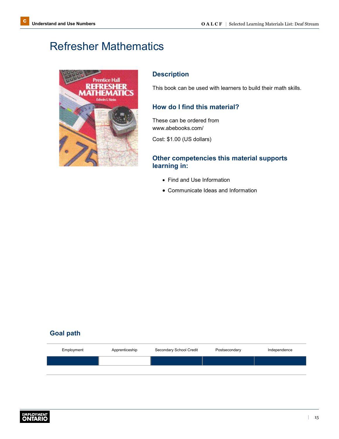# <span id="page-17-0"></span>Refresher Mathematics



#### **Description**

This book can be used with learners to build their math skills.

#### **How do I find this material?**

These can be ordered from [www.abebooks.com/](http://www.abebooks.com/)

Cost: \$1.00 (US dollars)

#### **Other competencies this material supports learning in:**

- Find and Use Information
- Communicate Ideas and Information

| Employment | Apprenticeship | Secondary School Credit | Postsecondary | Independence |
|------------|----------------|-------------------------|---------------|--------------|
|            |                |                         |               |              |
|            |                |                         |               |              |

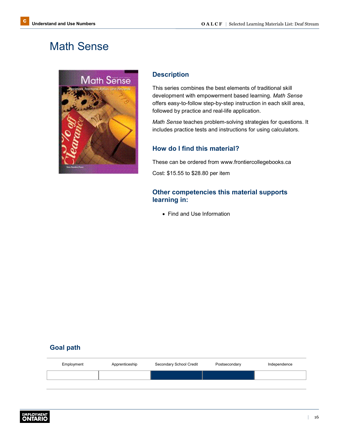# <span id="page-18-0"></span>Math Sense



#### **Description**

This series combines the best elements of traditional skill development with empowerment based learning. *Math Sense* offers easy-to-follow step-by-step instruction in each skill area, followed by practice and real-life application.

*Math Sense* teaches problem-solving strategies for questions. It includes practice tests and instructions for using calculators.

#### **How do I find this material?**

These can be ordered from [www.frontiercollegebooks.ca](http://www.frontiercollegebooks.ca) Cost: \$15.55 to \$28.80 per item

#### **Other competencies this material supports learning in:**

• Find and Use Information

| Employment | Apprenticeship | Secondary School Credit | Postsecondary | Independence |
|------------|----------------|-------------------------|---------------|--------------|
|            |                |                         |               |              |
|            |                |                         |               |              |

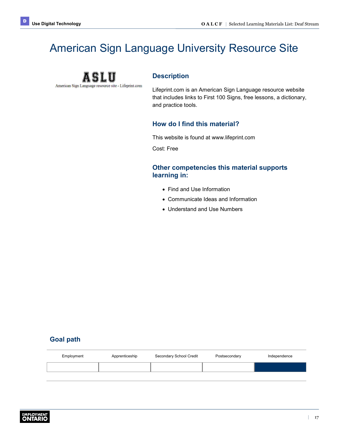# <span id="page-19-1"></span><span id="page-19-0"></span>American Sign Language University Resource Site



#### **Description**

Lifeprint.com is an American Sign Language resource website that includes links to First 100 Signs, free lessons, a dictionary, and practice tools.

#### **How do I find this material?**

This website is found at [www.lifeprint.com](http://www.lifeprint.com)

Cost: Free

#### **Other competencies this material supports learning in:**

- Find and Use Information
- Communicate Ideas and Information
- Understand and Use Numbers

| Employment | Apprenticeship | Secondary School Credit | Postsecondary | Independence |
|------------|----------------|-------------------------|---------------|--------------|
|            |                |                         |               |              |
|            |                |                         |               |              |

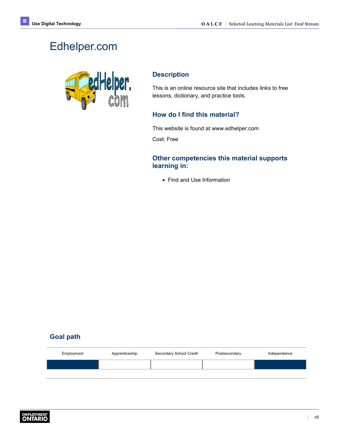# <span id="page-20-0"></span>Edhelper.com



#### **Description**

This is an online resource site that includes links to free lessons, dictionary, and practice tools.

#### **How do I find this material?**

This website is found at [www.edhelper.com](http://www.edhelper.com)

Cost: Free

#### **Other competencies this material supports learning in:**

• Find and Use Information

| Employment | Apprenticeship | Secondary School Credit | Postsecondary | Independence |
|------------|----------------|-------------------------|---------------|--------------|
|            |                |                         |               |              |
|            |                |                         |               |              |

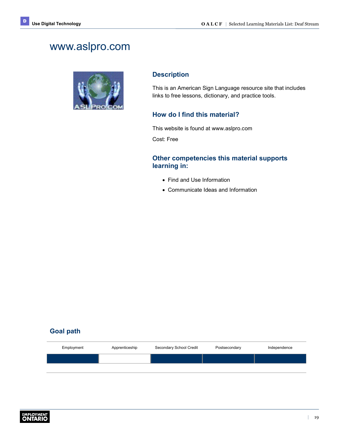# <span id="page-21-0"></span>www.aslpro.com



#### **Description**

This is an American Sign Language resource site that includes links to free lessons, dictionary, and practice tools.

#### **How do I find this material?**

This website is found at [www.aslpro.com](http://www.aslpro.com)

Cost: Free

#### **Other competencies this material supports learning in:**

- Find and Use Information
- Communicate Ideas and Information

| Employment | Apprenticeship | Secondary School Credit | Postsecondary | Independence |
|------------|----------------|-------------------------|---------------|--------------|
|            |                |                         |               |              |
|            |                |                         |               |              |

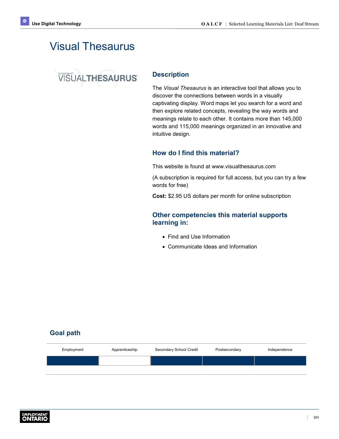# <span id="page-22-0"></span>Visual Thesaurus

# **VISUALTHESAURUS**

#### **Description**

The *Visual Thesaurus* is an interactive tool that allows you to discover the connections between words in a visually captivating display. Word maps let you search for a word and then explore related concepts, revealing the way words and meanings relate to each other. It contains more than 145,000 words and 115,000 meanings organized in an innovative and intuitive design.

#### **How do I find this material?**

This website is found at [www.visualthesaurus.com](http://www.visualthesaurus.com)

(A subscription is required for full access, but you can try a few words for free)

**Cost:** \$2.95 US dollars per month for online subscription

#### **Other competencies this material supports learning in:**

- Find and Use Information
- Communicate Ideas and Information

| Employment | Apprenticeship | Secondary School Credit | Postsecondary | Independence |
|------------|----------------|-------------------------|---------------|--------------|
|            |                |                         |               |              |
|            |                |                         |               |              |

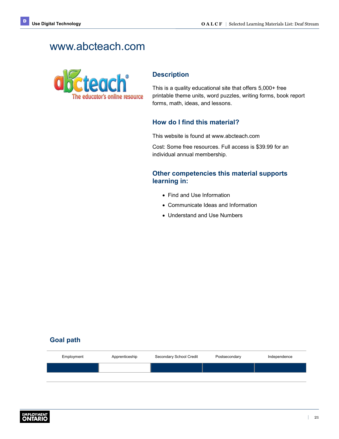# <span id="page-23-0"></span>www.abcteach.com



#### **Description**

This is a quality educational site that offers 5,000+ free printable theme units, word puzzles, writing forms, book report forms, math, ideas, and lessons.

#### **How do I find this material?**

This website is found at [www.abcteach.com](http://www.abcteach.com)

Cost: Some free resources. Full access is \$39.99 for an individual annual membership.

#### **Other competencies this material supports learning in:**

- Find and Use Information
- Communicate Ideas and Information
- Understand and Use Numbers

| Employment | Apprenticeship | Secondary School Credit | Postsecondary | Independence |
|------------|----------------|-------------------------|---------------|--------------|
|            |                |                         |               |              |
|            |                |                         |               |              |

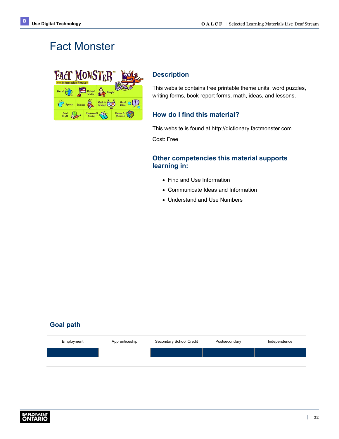# <span id="page-24-0"></span>Fact Monster



#### **Description**

This website contains free printable theme units, word puzzles, writing forms, book report forms, math, ideas, and lessons.

#### **How do I find this material?**

This website is found at <http://dictionary.factmonster.com>

Cost: Free

#### **Other competencies this material supports learning in:**

- Find and Use Information
- Communicate Ideas and Information
- Understand and Use Numbers

| Employment | Apprenticeship | Secondary School Credit | Postsecondary | Independence |
|------------|----------------|-------------------------|---------------|--------------|
|            |                |                         |               |              |
|            |                |                         |               |              |

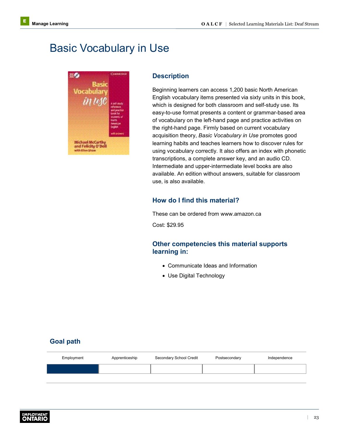# <span id="page-25-1"></span><span id="page-25-0"></span>Basic Vocabulary in Use



#### **Description**

Beginning learners can access 1,200 basic North American English vocabulary items presented via sixty units in this book, which is designed for both classroom and self-study use. Its easy-to-use format presents a content or grammar-based area of vocabulary on the left-hand page and practice activities on the right-hand page. Firmly based on current vocabulary acquisition theory, *Basic Vocabulary in Use* promotes good learning habits and teaches learners how to discover rules for using vocabulary correctly. It also offers an index with phonetic transcriptions, a complete answer key, and an audio CD. Intermediate and upper-intermediate level books are also available. An edition without answers, suitable for classroom use, is also available.

#### **How do I find this material?**

These can be ordered from [www.amazon.ca](http://www.amazon.ca)

Cost: \$29.95

#### **Other competencies this material supports learning in:**

- Communicate Ideas and Information
- Use Digital Technology

| Employment | Apprenticeship | Secondary School Credit | Postsecondary | Independence |
|------------|----------------|-------------------------|---------------|--------------|
|            |                |                         |               |              |
|            |                |                         |               |              |

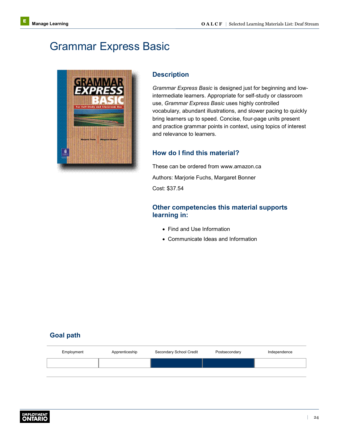# <span id="page-26-0"></span>Grammar Express Basic



#### **Description**

*Grammar Express Basic* is designed just for beginning and lowintermediate learners. Appropriate for self-study or classroom use, *Grammar Express Basic* uses highly controlled vocabulary, abundant illustrations, and slower pacing to quickly bring learners up to speed. Concise, four-page units present and practice grammar points in context, using topics of interest and relevance to learners.

#### **How do I find this material?**

These can be ordered from [www.amazon.ca](http://www.amazon.ca) Authors: Marjorie Fuchs, Margaret Bonner Cost: \$37.54

#### **Other competencies this material supports learning in:**

- Find and Use Information
- Communicate Ideas and Information

| Employment | Apprenticeship | Secondary School Credit | Postsecondary | Independence |
|------------|----------------|-------------------------|---------------|--------------|
|            |                |                         |               |              |
|            |                |                         |               |              |

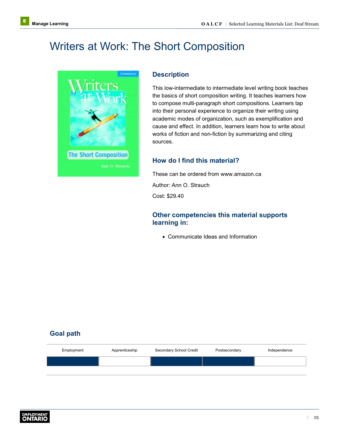# <span id="page-27-0"></span>Writers at Work: The Short Composition



#### **Description**

This low-intermediate to intermediate level writing book teaches the basics of short composition writing. It teaches learners how to compose multi-paragraph short compositions. Learners tap into their personal experience to organize their writing using academic modes of organization, such as exemplification and cause and effect. In addition, learners learn how to write about works of fiction and non-fiction by summarizing and citing sources.

#### **How do I find this material?**

These can be ordered from [www.amazon.ca](http://www.amazon.ca) Author: Ann O. Strauch

Cost: \$29.40

#### **Other competencies this material supports learning in:**

• Communicate Ideas and Information

| Employment | Apprenticeship | Secondary School Credit | Postsecondary | Independence |
|------------|----------------|-------------------------|---------------|--------------|
|            |                |                         |               |              |
|            |                |                         |               |              |

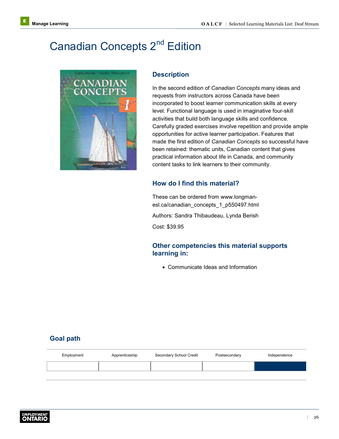# <span id="page-28-0"></span>Canadian Concepts 2<sup>nd</sup> Edition



#### **Description**

In the second edition of *Canadian Concepts* many ideas and requests from instructors across Canada have been incorporated to boost learner communication skills at every level. Functional language is used in imaginative four-skill activities that build both language skills and confidence. Carefully graded exercises involve repetition and provide ample opportunities for active learner participation. Features that made the first edition of *Canadian Concepts* so successful have been retained: thematic units, Canadian content that gives practical information about life in Canada, and community content tasks to link learners to their community.

#### **How do I find this material?**

These can be ordered from [www.longman](http://www.longman-esl.ca/canadian_concepts_1_p550497.html)[esl.ca/canadian\\_concepts\\_1\\_p550497.html](http://www.longman-esl.ca/canadian_concepts_1_p550497.html)

Authors: Sandra Thibaudeau, Lynda Berish

Cost: \$39.95

#### **Other competencies this material supports learning in:**

• Communicate Ideas and Information

| Employment | Apprenticeship | Secondary School Credit | Postsecondary | Independence |
|------------|----------------|-------------------------|---------------|--------------|
|            |                |                         |               |              |
|            |                |                         |               |              |

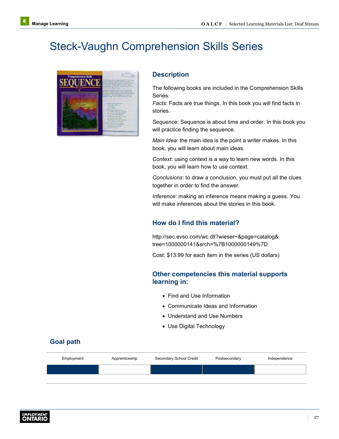# <span id="page-29-0"></span>Steck-Vaughn Comprehension Skills Series



#### **Description**

The following books are included in the Comprehension Skills Series:

*Facts*: Facts are true things. In this book you will find facts in stories.

*Sequence*: Sequence is about time and order. In this book you will practice finding the sequence.

*Main Idea*: the main idea is the point a writer makes. In this book, you will learn about main ideas.

*Context*: using context is a way to learn new words. In this book, you will learn how to use context.

*Conclusions*: to draw a conclusion, you must put all the clues together in order to find the answer.

*Inference*: making an inference means making a guess. You will make inferences about the stories in this book.

#### **How do I find this material?**

[http://sec.evso.com/wc.dll?wieser~&page=catalog&](http://sec.evso.com/wc.dll?wieser~&page=catalog&tree=1000000141&srch=%7B1000000149%7D) [tree=1000000141&srch=%7B1000000149%7D](http://sec.evso.com/wc.dll?wieser~&page=catalog&tree=1000000141&srch=%7B1000000149%7D)

Cost: \$13.99 for each item in the series (US dollars)

#### **Other competencies this material supports learning in:**

- Find and Use Information
- Communicate Ideas and Information
- Understand and Use Numbers
- Use Digital Technology

| Employment | Apprenticeship | Secondary School Credit | Postsecondary | Independence |
|------------|----------------|-------------------------|---------------|--------------|
|            |                |                         |               |              |
|            |                |                         |               |              |

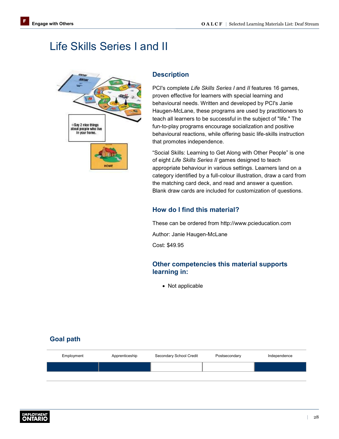# <span id="page-30-1"></span><span id="page-30-0"></span>Life Skills Series I and II



#### **Description**

PCI's complete *Life Skills Series I* and *II* features 16 games, proven effective for learners with special learning and behavioural needs. Written and developed by PCI's Janie Haugen-McLane, these programs are used by practitioners to teach all learners to be successful in the subject of "life." The fun-to-play programs encourage socialization and positive behavioural reactions, while offering basic life-skills instruction that promotes independence.

"Social Skills: Learning to Get Along with Other People" is one of eight *Life Skills Series II* games designed to teach appropriate behaviour in various settings. Learners land on a category identified by a full-colour illustration, draw a card from the matching card deck, and read and answer a question. Blank draw cards are included for customization of questions.

#### **How do I find this material?**

These can be ordered from <http://www.pcieducation.com> Author: Janie Haugen-McLane

Cost: \$49.95

#### **Other competencies this material supports learning in:**

• Not applicable

| Employment | Apprenticeship | Secondary School Credit | Postsecondary | Independence |
|------------|----------------|-------------------------|---------------|--------------|
|            |                |                         |               |              |
|            |                |                         |               |              |

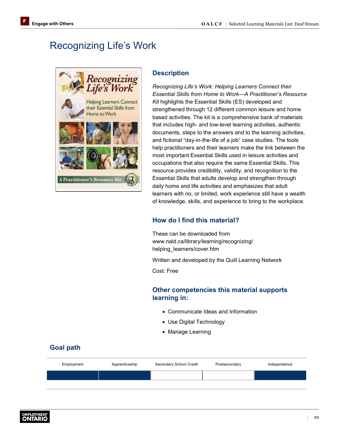# <span id="page-31-0"></span>Recognizing Life's Work



#### **Description**

*Recognizing Life's Work: Helping Learners Connect their Essential Skills from Home to Work—A Practitioner's Resource Kit* highlights the Essential Skills (ES) developed and strengthened through 12 different common leisure and home based activities. The kit is a comprehensive bank of materials that includes high- and low-level learning activities, authentic documents, steps to the answers and to the learning activities, and fictional "day-in-the-life of a job" case studies. The tools help practitioners and their learners make the link between the most important Essential Skills used in leisure activities and occupations that also require the same Essential Skills. This resource provides credibility, validity, and recognition to the Essential Skills that adults develop and strengthen through daily home and life activities and emphasizes that adult learners with no, or limited, work experience still have a wealth of knowledge, skills, and experience to bring to the workplace.

### **How do I find this material?**

These can be downloaded from [www.nald.ca/library/learning/recognizing/](http://www.nald.ca/library/learning/recognizing/helping_learners/cover.htm) helping\_learners/cover.htm

Written and developed by the Quill Learning Network

Cost: Free

#### **Other competencies this material supports learning in:**

- Communicate Ideas and Information
- Use Digital Technology
- Manage Learning

| Employment | Apprenticeship | Secondary School Credit | Postsecondary | Independence |
|------------|----------------|-------------------------|---------------|--------------|
|            |                |                         |               |              |
|            |                |                         |               |              |

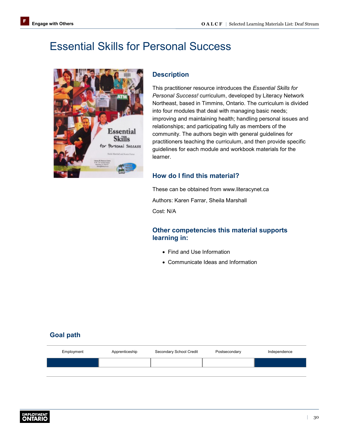# <span id="page-32-0"></span>Essential Skills for Personal Success



#### **Description**

This practitioner resource introduces the *Essential Skills for Personal Success!* curriculum, developed by Literacy Network Northeast, based in Timmins, Ontario. The curriculum is divided into four modules that deal with managing basic needs; improving and maintaining health; handling personal issues and relationships; and participating fully as members of the community. The authors begin with general guidelines for practitioners teaching the curriculum, and then provide specific guidelines for each module and workbook materials for the learner.

### **How do I find this material?**

These can be obtained from [www.literacynet.ca](http://www.literacynet.ca) Authors: Karen Farrar, Sheila Marshall Cost: N/A

#### **Other competencies this material supports learning in:**

- Find and Use Information
- Communicate Ideas and Information

| Employment | Apprenticeship | Secondary School Credit | Postsecondary | Independence |
|------------|----------------|-------------------------|---------------|--------------|
|            |                |                         |               |              |
|            |                |                         |               |              |

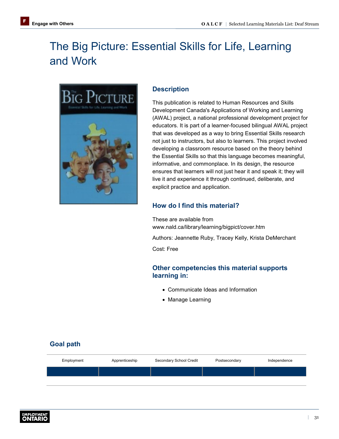# <span id="page-33-0"></span>The Big Picture: Essential Skills for Life, Learning and Work



#### **Description**

This publication is related to Human Resources and Skills Development Canada's Applications of Working and Learning (AWAL) project, a national professional development project for educators. It is part of a learner-focused bilingual AWAL project that was developed as a way to bring Essential Skills research not just to instructors, but also to learners. This project involved developing a classroom resource based on the theory behind the Essential Skills so that this language becomes meaningful, informative, and commonplace. In its design, the resource ensures that learners will not just hear it and speak it; they will live it and experience it through continued, deliberate, and explicit practice and application.

### **How do I find this material?**

These are available from [www.nald.ca/library/learning/bigpict/cover.htm](http://www.nald.ca/library/learning/bigpict/cover.htm) Authors: Jeannette Ruby, Tracey Kelly, Krista DeMerchant Cost: Free

### **Other competencies this material supports learning in:**

- Communicate Ideas and Information
- Manage Learning

| Employment | Apprenticeship | Secondary School Credit | Postsecondary | Independence |
|------------|----------------|-------------------------|---------------|--------------|
|            |                |                         |               |              |
|            |                |                         |               |              |